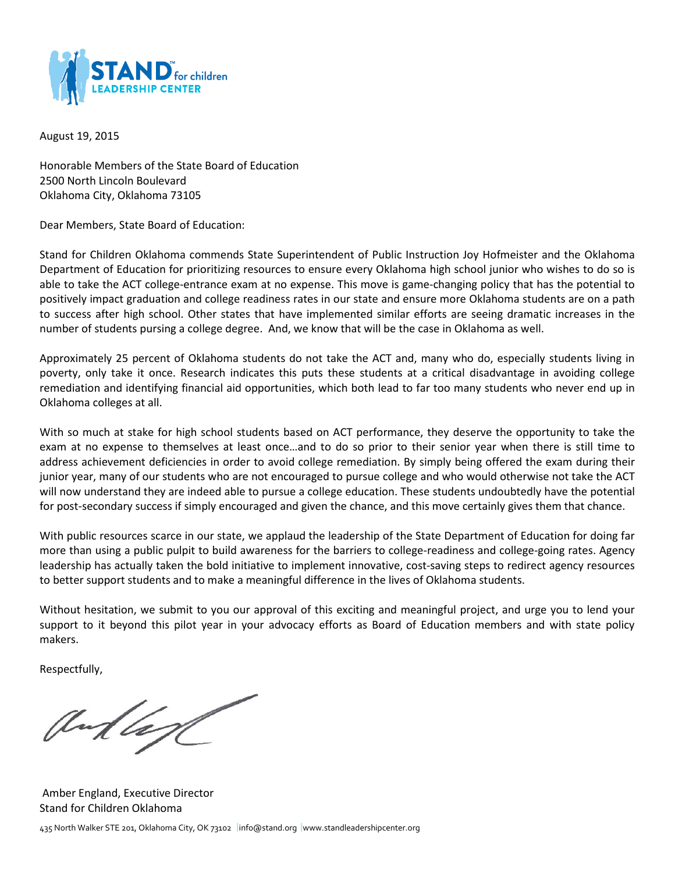

August 19, 2015

Honorable Members of the State Board of Education 2500 North Lincoln Boulevard Oklahoma City, Oklahoma 73105

Dear Members, State Board of Education:

Stand for Children Oklahoma commends State Superintendent of Public Instruction Joy Hofmeister and the Oklahoma Department of Education for prioritizing resources to ensure every Oklahoma high school junior who wishes to do so is able to take the ACT college-entrance exam at no expense. This move is game-changing policy that has the potential to positively impact graduation and college readiness rates in our state and ensure more Oklahoma students are on a path to success after high school. Other states that have implemented similar efforts are seeing dramatic increases in the number of students pursing a college degree. And, we know that will be the case in Oklahoma as well.

Approximately 25 percent of Oklahoma students do not take the ACT and, many who do, especially students living in poverty, only take it once. Research indicates this puts these students at a critical disadvantage in avoiding college remediation and identifying financial aid opportunities, which both lead to far too many students who never end up in Oklahoma colleges at all.

With so much at stake for high school students based on ACT performance, they deserve the opportunity to take the exam at no expense to themselves at least once…and to do so prior to their senior year when there is still time to address achievement deficiencies in order to avoid college remediation. By simply being offered the exam during their junior year, many of our students who are not encouraged to pursue college and who would otherwise not take the ACT will now understand they are indeed able to pursue a college education. These students undoubtedly have the potential for post-secondary success if simply encouraged and given the chance, and this move certainly gives them that chance.

With public resources scarce in our state, we applaud the leadership of the State Department of Education for doing far more than using a public pulpit to build awareness for the barriers to college-readiness and college-going rates. Agency leadership has actually taken the bold initiative to implement innovative, cost-saving steps to redirect agency resources to better support students and to make a meaningful difference in the lives of Oklahoma students.

Without hesitation, we submit to you our approval of this exciting and meaningful project, and urge you to lend your support to it beyond this pilot year in your advocacy efforts as Board of Education members and with state policy makers.

Respectfully,

andlage

Amber England, Executive Director Stand for Children Oklahoma